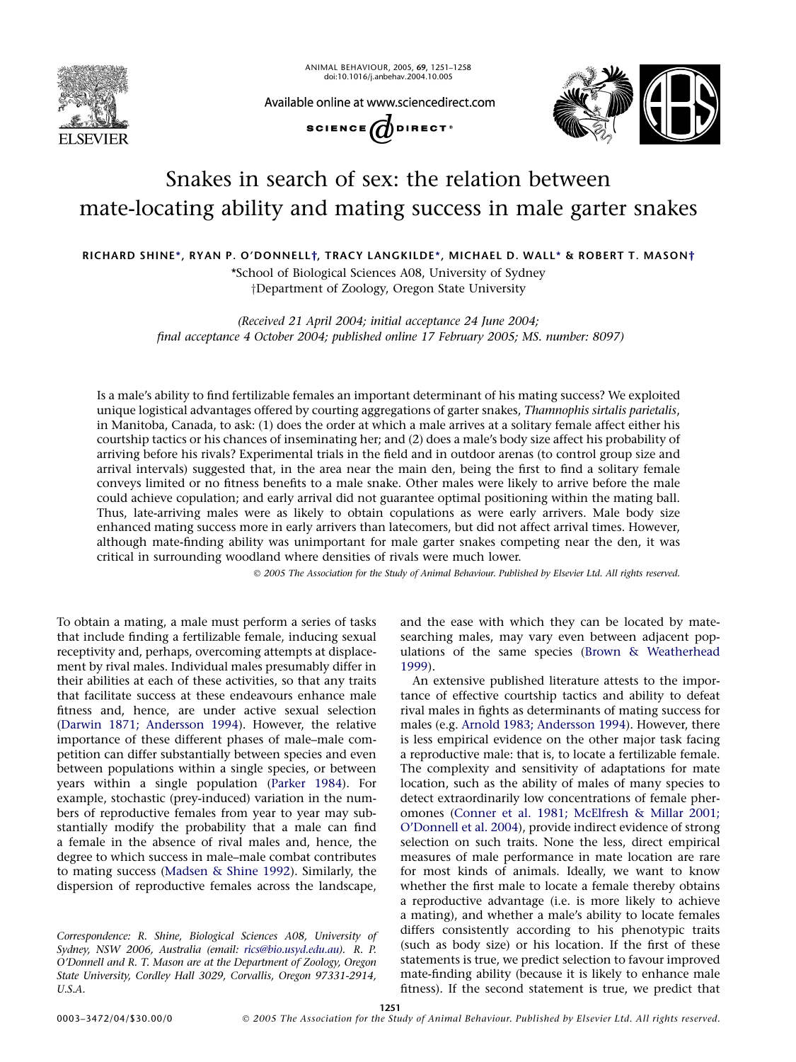

ANIMAL BEHAVIOUR, 2005, 69, 1251–1258 doi:10.1016/j.anbehav.2004.10.005





# Snakes in search of sex: the relation between mate-locating ability and mating success in male garter snakes

RICHARD SHINE\*, RYAN P. O'DONNELL†, TRACY LANGKILDE\*, MICHAEL D. WALL\* & ROBERT T. MASON† \*School of Biological Sciences A08, University of Sydney yDepartment of Zoology, Oregon State University

> (Received 21 April 2004; initial acceptance 24 June 2004; final acceptance 4 October 2004; published online 17 February 2005; MS. number: 8097)

Is a male's ability to find fertilizable females an important determinant of his mating success? We exploited unique logistical advantages offered by courting aggregations of garter snakes, Thamnophis sirtalis parietalis, in Manitoba, Canada, to ask: (1) does the order at which a male arrives at a solitary female affect either his courtship tactics or his chances of inseminating her; and (2) does a male's body size affect his probability of arriving before his rivals? Experimental trials in the field and in outdoor arenas (to control group size and arrival intervals) suggested that, in the area near the main den, being the first to find a solitary female conveys limited or no fitness benefits to a male snake. Other males were likely to arrive before the male could achieve copulation; and early arrival did not guarantee optimal positioning within the mating ball. Thus, late-arriving males were as likely to obtain copulations as were early arrivers. Male body size enhanced mating success more in early arrivers than latecomers, but did not affect arrival times. However, although mate-finding ability was unimportant for male garter snakes competing near the den, it was critical in surrounding woodland where densities of rivals were much lower.

2005 The Association for the Study of Animal Behaviour. Published by Elsevier Ltd. All rights reserved.

To obtain a mating, a male must perform a series of tasks that include finding a fertilizable female, inducing sexual receptivity and, perhaps, overcoming attempts at displacement by rival males. Individual males presumably differ in their abilities at each of these activities, so that any traits that facilitate success at these endeavours enhance male fitness and, hence, are under active sexual selection ([Darwin 1871; Andersson 1994](#page-6-0)). However, the relative importance of these different phases of male–male competition can differ substantially between species and even between populations within a single species, or between years within a single population ([Parker 1984\)](#page-7-0). For example, stochastic (prey-induced) variation in the numbers of reproductive females from year to year may substantially modify the probability that a male can find a female in the absence of rival males and, hence, the degree to which success in male–male combat contributes to mating success [\(Madsen & Shine 1992](#page-7-0)). Similarly, the dispersion of reproductive females across the landscape,

Correspondence: R. Shine, Biological Sciences A08, University of Sydney, NSW 2006, Australia (email: [rics@bio.usyd.edu.au\)](mailto:rics@bio.usyd.edu.au). R. P. O'Donnell and R. T. Mason are at the Department of Zoology, Oregon State University, Cordley Hall 3029, Corvallis, Oregon 97331-2914, U.S.A.

and the ease with which they can be located by matesearching males, may vary even between adjacent populations of the same species ([Brown & Weatherhead](#page-6-0) [1999](#page-6-0)).

An extensive published literature attests to the importance of effective courtship tactics and ability to defeat rival males in fights as determinants of mating success for males (e.g. [Arnold 1983; Andersson 1994](#page-6-0)). However, there is less empirical evidence on the other major task facing a reproductive male: that is, to locate a fertilizable female. The complexity and sensitivity of adaptations for mate location, such as the ability of males of many species to detect extraordinarily low concentrations of female pheromones ([Conner et al. 1981; McElfresh & Millar 2001;](#page-6-0) [O'Donnell et al. 2004\)](#page-6-0), provide indirect evidence of strong selection on such traits. None the less, direct empirical measures of male performance in mate location are rare for most kinds of animals. Ideally, we want to know whether the first male to locate a female thereby obtains a reproductive advantage (i.e. is more likely to achieve a mating), and whether a male's ability to locate females differs consistently according to his phenotypic traits (such as body size) or his location. If the first of these statements is true, we predict selection to favour improved mate-finding ability (because it is likely to enhance male fitness). If the second statement is true, we predict that

1251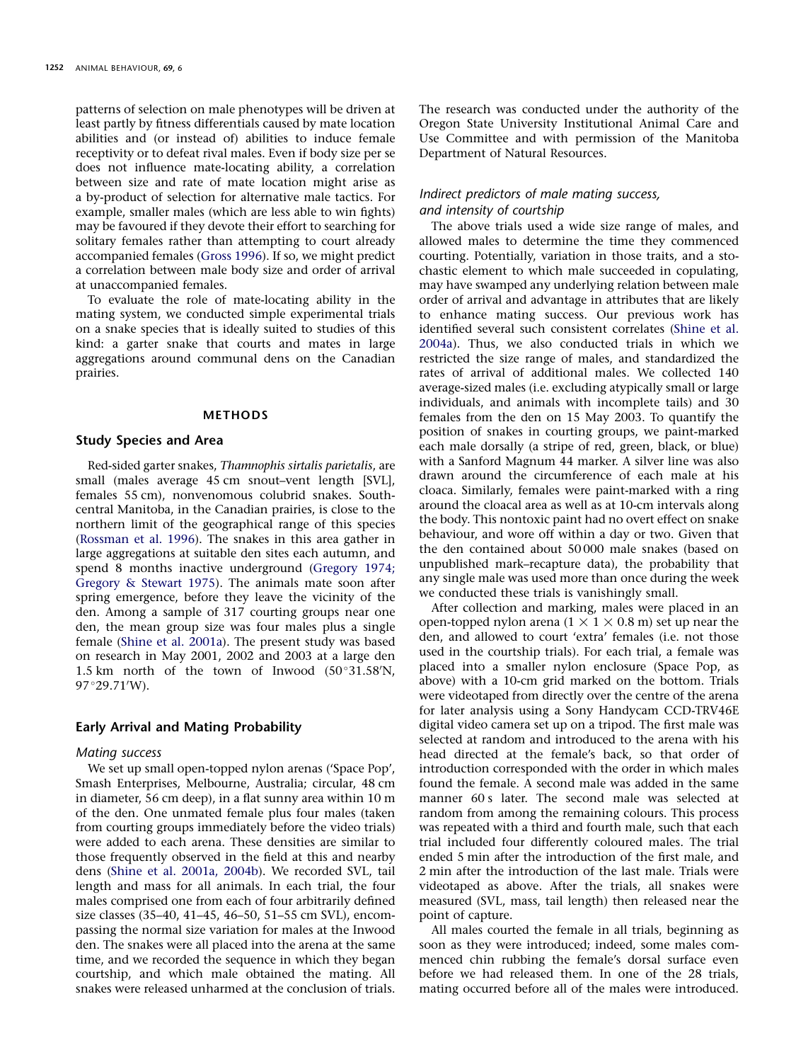patterns of selection on male phenotypes will be driven at least partly by fitness differentials caused by mate location abilities and (or instead of) abilities to induce female receptivity or to defeat rival males. Even if body size per se does not influence mate-locating ability, a correlation between size and rate of mate location might arise as a by-product of selection for alternative male tactics. For example, smaller males (which are less able to win fights) may be favoured if they devote their effort to searching for solitary females rather than attempting to court already accompanied females [\(Gross 1996\)](#page-7-0). If so, we might predict a correlation between male body size and order of arrival at unaccompanied females.

To evaluate the role of mate-locating ability in the mating system, we conducted simple experimental trials on a snake species that is ideally suited to studies of this kind: a garter snake that courts and mates in large aggregations around communal dens on the Canadian prairies.

## METHODS

#### Study Species and Area

Red-sided garter snakes, Thamnophis sirtalis parietalis, are small (males average 45 cm snout–vent length [SVL], females 55 cm), nonvenomous colubrid snakes. Southcentral Manitoba, in the Canadian prairies, is close to the northern limit of the geographical range of this species ([Rossman et al. 1996\)](#page-7-0). The snakes in this area gather in large aggregations at suitable den sites each autumn, and spend 8 months inactive underground [\(Gregory 1974;](#page-7-0) [Gregory & Stewart 1975](#page-7-0)). The animals mate soon after spring emergence, before they leave the vicinity of the den. Among a sample of 317 courting groups near one den, the mean group size was four males plus a single female ([Shine et al. 2001a](#page-7-0)). The present study was based on research in May 2001, 2002 and 2003 at a large den 1.5 km north of the town of Inwood  $(50^{\circ}31.58^{\prime}N,$  $97°29.71'W$ ).

#### Early Arrival and Mating Probability

## Mating success

We set up small open-topped nylon arenas ('Space Pop', Smash Enterprises, Melbourne, Australia; circular, 48 cm in diameter, 56 cm deep), in a flat sunny area within 10 m of the den. One unmated female plus four males (taken from courting groups immediately before the video trials) were added to each arena. These densities are similar to those frequently observed in the field at this and nearby dens [\(Shine et al. 2001a, 2004b](#page-7-0)). We recorded SVL, tail length and mass for all animals. In each trial, the four males comprised one from each of four arbitrarily defined size classes (35–40, 41–45, 46–50, 51–55 cm SVL), encompassing the normal size variation for males at the Inwood den. The snakes were all placed into the arena at the same time, and we recorded the sequence in which they began courtship, and which male obtained the mating. All snakes were released unharmed at the conclusion of trials.

The research was conducted under the authority of the Oregon State University Institutional Animal Care and Use Committee and with permission of the Manitoba Department of Natural Resources.

# Indirect predictors of male mating success, and intensity of courtship

The above trials used a wide size range of males, and allowed males to determine the time they commenced courting. Potentially, variation in those traits, and a stochastic element to which male succeeded in copulating, may have swamped any underlying relation between male order of arrival and advantage in attributes that are likely to enhance mating success. Our previous work has identified several such consistent correlates [\(Shine et al.](#page-7-0) [2004a\)](#page-7-0). Thus, we also conducted trials in which we restricted the size range of males, and standardized the rates of arrival of additional males. We collected 140 average-sized males (i.e. excluding atypically small or large individuals, and animals with incomplete tails) and 30 females from the den on 15 May 2003. To quantify the position of snakes in courting groups, we paint-marked each male dorsally (a stripe of red, green, black, or blue) with a Sanford Magnum 44 marker. A silver line was also drawn around the circumference of each male at his cloaca. Similarly, females were paint-marked with a ring around the cloacal area as well as at 10-cm intervals along the body. This nontoxic paint had no overt effect on snake behaviour, and wore off within a day or two. Given that the den contained about 50 000 male snakes (based on unpublished mark–recapture data), the probability that any single male was used more than once during the week we conducted these trials is vanishingly small.

After collection and marking, males were placed in an open-topped nylon arena  $(1 \times 1 \times 0.8 \text{ m})$  set up near the den, and allowed to court 'extra' females (i.e. not those used in the courtship trials). For each trial, a female was placed into a smaller nylon enclosure (Space Pop, as above) with a 10-cm grid marked on the bottom. Trials were videotaped from directly over the centre of the arena for later analysis using a Sony Handycam CCD-TRV46E digital video camera set up on a tripod. The first male was selected at random and introduced to the arena with his head directed at the female's back, so that order of introduction corresponded with the order in which males found the female. A second male was added in the same manner 60 s later. The second male was selected at random from among the remaining colours. This process was repeated with a third and fourth male, such that each trial included four differently coloured males. The trial ended 5 min after the introduction of the first male, and 2 min after the introduction of the last male. Trials were videotaped as above. After the trials, all snakes were measured (SVL, mass, tail length) then released near the point of capture.

All males courted the female in all trials, beginning as soon as they were introduced; indeed, some males commenced chin rubbing the female's dorsal surface even before we had released them. In one of the 28 trials, mating occurred before all of the males were introduced.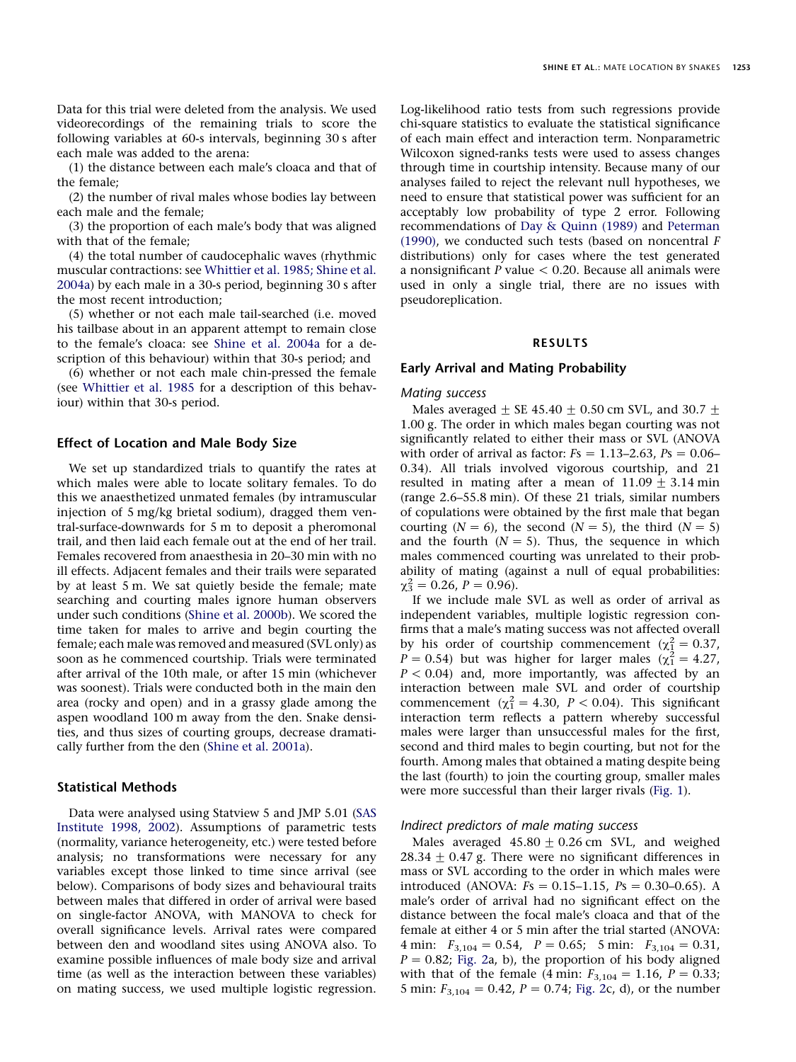Data for this trial were deleted from the analysis. We used videorecordings of the remaining trials to score the following variables at 60-s intervals, beginning 30 s after each male was added to the arena:

(1) the distance between each male's cloaca and that of the female;

(2) the number of rival males whose bodies lay between each male and the female;

(3) the proportion of each male's body that was aligned with that of the female;

(4) the total number of caudocephalic waves (rhythmic muscular contractions: see [Whittier et al. 1985; Shine et al.](#page-7-0) [2004a\)](#page-7-0) by each male in a 30-s period, beginning 30 s after the most recent introduction;

(5) whether or not each male tail-searched (i.e. moved his tailbase about in an apparent attempt to remain close to the female's cloaca: see [Shine et al. 2004a](#page-7-0) for a description of this behaviour) within that 30-s period; and

(6) whether or not each male chin-pressed the female (see [Whittier et al. 1985](#page-7-0) for a description of this behaviour) within that 30-s period.

## Effect of Location and Male Body Size

We set up standardized trials to quantify the rates at which males were able to locate solitary females. To do this we anaesthetized unmated females (by intramuscular injection of 5 mg/kg brietal sodium), dragged them ventral-surface-downwards for 5 m to deposit a pheromonal trail, and then laid each female out at the end of her trail. Females recovered from anaesthesia in 20–30 min with no ill effects. Adjacent females and their trails were separated by at least 5 m. We sat quietly beside the female; mate searching and courting males ignore human observers under such conditions [\(Shine et al. 2000b](#page-7-0)). We scored the time taken for males to arrive and begin courting the female; each male was removed and measured (SVL only) as soon as he commenced courtship. Trials were terminated after arrival of the 10th male, or after 15 min (whichever was soonest). Trials were conducted both in the main den area (rocky and open) and in a grassy glade among the aspen woodland 100 m away from the den. Snake densities, and thus sizes of courting groups, decrease dramatically further from the den [\(Shine et al. 2001a\)](#page-7-0).

## Statistical Methods

Data were analysed using Statview 5 and JMP 5.01 ([SAS](#page-7-0) [Institute 1998, 2002](#page-7-0)). Assumptions of parametric tests (normality, variance heterogeneity, etc.) were tested before analysis; no transformations were necessary for any variables except those linked to time since arrival (see below). Comparisons of body sizes and behavioural traits between males that differed in order of arrival were based on single-factor ANOVA, with MANOVA to check for overall significance levels. Arrival rates were compared between den and woodland sites using ANOVA also. To examine possible influences of male body size and arrival time (as well as the interaction between these variables) on mating success, we used multiple logistic regression.

Log-likelihood ratio tests from such regressions provide chi-square statistics to evaluate the statistical significance of each main effect and interaction term. Nonparametric Wilcoxon signed-ranks tests were used to assess changes through time in courtship intensity. Because many of our analyses failed to reject the relevant null hypotheses, we need to ensure that statistical power was sufficient for an acceptably low probability of type 2 error. Following recommendations of [Day & Quinn \(1989\)](#page-6-0) and [Peterman](#page-7-0) [\(1990\)](#page-7-0), we conducted such tests (based on noncentral  $F$ distributions) only for cases where the test generated a nonsignificant  $P$  value  $< 0.20$ . Because all animals were used in only a single trial, there are no issues with pseudoreplication.

#### RESULTS

## Early Arrival and Mating Probability

# Mating success

Males averaged  $\pm$  SE 45.40  $\pm$  0.50 cm SVL, and 30.7  $\pm$ 1.00 g. The order in which males began courting was not significantly related to either their mass or SVL (ANOVA with order of arrival as factor:  $Fs = 1.13-2.63$ ,  $Ps = 0.06-$ 0.34). All trials involved vigorous courtship, and 21 resulted in mating after a mean of  $11.09 \pm 3.14$  min (range 2.6–55.8 min). Of these 21 trials, similar numbers of copulations were obtained by the first male that began courting ( $N = 6$ ), the second ( $N = 5$ ), the third ( $N = 5$ ) and the fourth  $(N = 5)$ . Thus, the sequence in which males commenced courting was unrelated to their probability of mating (against a null of equal probabilities:  $\chi_3^2 = 0.26, P = 0.96$ .

If we include male SVL as well as order of arrival as independent variables, multiple logistic regression confirms that a male's mating success was not affected overall by his order of courtship commencement ( $\chi_1^2 = 0.37$ ,  $P = 0.54$ ) but was higher for larger males ( $\chi_1^2 = 4.27$ ,  $P < 0.04$ ) and, more importantly, was affected by an interaction between male SVL and order of courtship commencement ( $\chi_1^2 = 4.30$ ,  $P < 0.04$ ). This significant interaction term reflects a pattern whereby successful males were larger than unsuccessful males for the first, second and third males to begin courting, but not for the fourth. Among males that obtained a mating despite being the last (fourth) to join the courting group, smaller males were more successful than their larger rivals ([Fig. 1](#page-3-0)).

## Indirect predictors of male mating success

Males averaged  $45.80 \pm 0.26$  cm SVL, and weighed 28.34  $\pm$  0.47 g. There were no significant differences in mass or SVL according to the order in which males were introduced (ANOVA:  $Fs = 0.15-1.15$ ,  $Ps = 0.30-0.65$ ). A male's order of arrival had no significant effect on the distance between the focal male's cloaca and that of the female at either 4 or 5 min after the trial started (ANOVA: 4 min:  $F_{3,104} = 0.54$ ,  $P = 0.65$ ; 5 min:  $F_{3,104} = 0.31$ ,  $P = 0.82$ ; [Fig. 2](#page-4-0)a, b), the proportion of his body aligned with that of the female (4 min:  $F_{3,104} = 1.16$ ,  $P = 0.33$ ; 5 min:  $F_{3,104} = 0.42$ ,  $P = 0.74$ ; [Fig. 2c](#page-4-0), d), or the number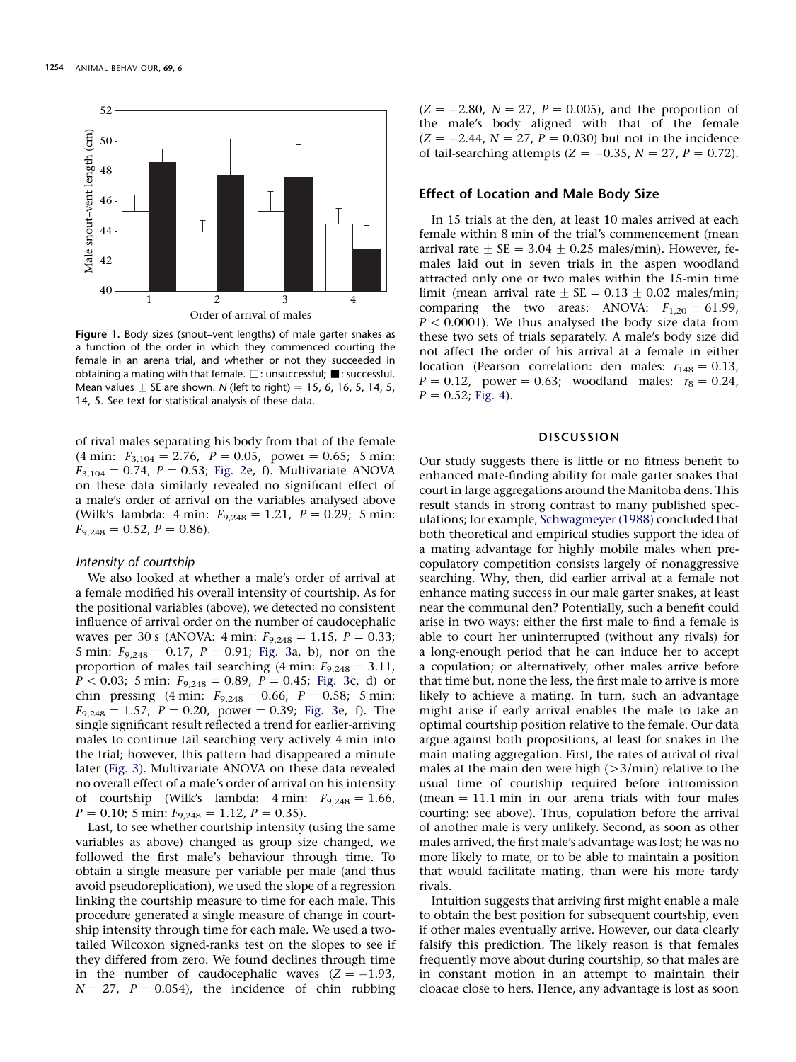<span id="page-3-0"></span>

Figure 1. Body sizes (snout–vent lengths) of male garter snakes as a function of the order in which they commenced courting the female in an arena trial, and whether or not they succeeded in obtaining a mating with that female.  $\square$ : unsuccessful;  $\blacksquare$ : successful. Mean values  $\pm$  SE are shown. N (left to right) = 15, 6, 16, 5, 14, 5, 14, 5. See text for statistical analysis of these data.

of rival males separating his body from that of the female  $(4 \text{ min: } F_{3,104} = 2.76, P = 0.05, power = 0.65; 5 \text{ min:}$  $F_{3,104} = 0.74$ ,  $P = 0.53$ ; [Fig. 2](#page-4-0)e, f). Multivariate ANOVA on these data similarly revealed no significant effect of a male's order of arrival on the variables analysed above (Wilk's lambda: 4 min:  $F_{9,248} = 1.21$ ,  $P = 0.29$ ; 5 min:  $F_{9,248} = 0.52, P = 0.86$ .

## Intensity of courtship

We also looked at whether a male's order of arrival at a female modified his overall intensity of courtship. As for the positional variables (above), we detected no consistent influence of arrival order on the number of caudocephalic waves per 30 s (ANOVA: 4 min:  $F_{9,248} = 1.15$ ,  $P = 0.33$ ; 5 min:  $F_{9,248} = 0.17$ ,  $P = 0.91$ ; [Fig. 3](#page-5-0)a, b), nor on the proportion of males tail searching (4 min:  $F_{9,248} = 3.11$ ,  $P < 0.03$ ; 5 min:  $F_{9,248} = 0.89$ ,  $P = 0.45$ ; [Fig. 3c](#page-5-0), d) or chin pressing (4 min:  $F_{9,248} = 0.66$ ,  $P = 0.58$ ; 5 min:  $F_{9,248} = 1.57$ ,  $P = 0.20$ , power = 0.39; [Fig. 3](#page-5-0)e, f). The single significant result reflected a trend for earlier-arriving males to continue tail searching very actively 4 min into the trial; however, this pattern had disappeared a minute later [\(Fig. 3](#page-5-0)). Multivariate ANOVA on these data revealed no overall effect of a male's order of arrival on his intensity of courtship (Wilk's lambda: 4 min:  $F_{9,248} = 1.66$ ,  $P = 0.10$ ; 5 min:  $F_{9,248} = 1.12$ ,  $P = 0.35$ ).

Last, to see whether courtship intensity (using the same variables as above) changed as group size changed, we followed the first male's behaviour through time. To obtain a single measure per variable per male (and thus avoid pseudoreplication), we used the slope of a regression linking the courtship measure to time for each male. This procedure generated a single measure of change in courtship intensity through time for each male. We used a twotailed Wilcoxon signed-ranks test on the slopes to see if they differed from zero. We found declines through time in the number of caudocephalic waves  $(Z = -1.93$ ,  $N = 27$ ,  $P = 0.054$ , the incidence of chin rubbing

 $(Z = -2.80, N = 27, P = 0.005)$ , and the proportion of the male's body aligned with that of the female  $(Z = -2.44, N = 27, P = 0.030)$  but not in the incidence of tail-searching attempts ( $Z = -0.35$ ,  $N = 27$ ,  $P = 0.72$ ).

#### Effect of Location and Male Body Size

In 15 trials at the den, at least 10 males arrived at each female within 8 min of the trial's commencement (mean arrival rate  $\pm$  SE = 3.04  $\pm$  0.25 males/min). However, females laid out in seven trials in the aspen woodland attracted only one or two males within the 15-min time limit (mean arrival rate  $\pm$  SE = 0.13  $\pm$  0.02 males/min; comparing the two areas: ANOVA:  $F_{1,20} = 61.99$ ,  $P < 0.0001$ ). We thus analysed the body size data from these two sets of trials separately. A male's body size did not affect the order of his arrival at a female in either location (Pearson correlation: den males:  $r_{148} = 0.13$ ,  $P = 0.12$ , power = 0.63; woodland males:  $r_8 = 0.24$ ,  $P = 0.52$ ; [Fig. 4](#page-6-0)).

## **DISCUSSION**

Our study suggests there is little or no fitness benefit to enhanced mate-finding ability for male garter snakes that court in large aggregations around the Manitoba dens. This result stands in strong contrast to many published speculations; for example, [Schwagmeyer \(1988\)](#page-7-0) concluded that both theoretical and empirical studies support the idea of a mating advantage for highly mobile males when precopulatory competition consists largely of nonaggressive searching. Why, then, did earlier arrival at a female not enhance mating success in our male garter snakes, at least near the communal den? Potentially, such a benefit could arise in two ways: either the first male to find a female is able to court her uninterrupted (without any rivals) for a long-enough period that he can induce her to accept a copulation; or alternatively, other males arrive before that time but, none the less, the first male to arrive is more likely to achieve a mating. In turn, such an advantage might arise if early arrival enables the male to take an optimal courtship position relative to the female. Our data argue against both propositions, at least for snakes in the main mating aggregation. First, the rates of arrival of rival males at the main den were high  $(>3/min)$  relative to the usual time of courtship required before intromission (mean  $= 11.1$  min in our arena trials with four males courting: see above). Thus, copulation before the arrival of another male is very unlikely. Second, as soon as other males arrived, the first male's advantage was lost; he was no more likely to mate, or to be able to maintain a position that would facilitate mating, than were his more tardy rivals.

Intuition suggests that arriving first might enable a male to obtain the best position for subsequent courtship, even if other males eventually arrive. However, our data clearly falsify this prediction. The likely reason is that females frequently move about during courtship, so that males are in constant motion in an attempt to maintain their cloacae close to hers. Hence, any advantage is lost as soon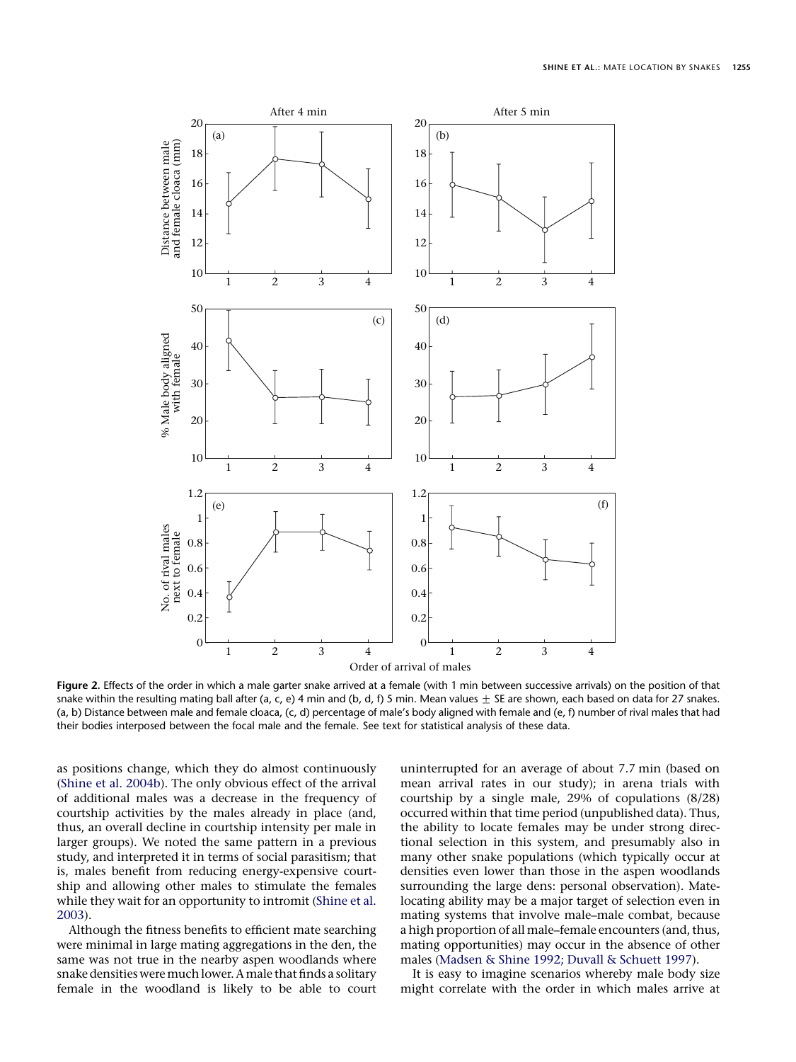<span id="page-4-0"></span>

Figure 2. Effects of the order in which a male garter snake arrived at a female (with 1 min between successive arrivals) on the position of that snake within the resulting mating ball after (a, c, e) 4 min and (b, d, f) 5 min. Mean values  $\pm$  SE are shown, each based on data for 27 snakes. (a, b) Distance between male and female cloaca, (c, d) percentage of male's body aligned with female and (e, f) number of rival males that had their bodies interposed between the focal male and the female. See text for statistical analysis of these data.

as positions change, which they do almost continuously ([Shine et al. 2004b](#page-7-0)). The only obvious effect of the arrival of additional males was a decrease in the frequency of courtship activities by the males already in place (and, thus, an overall decline in courtship intensity per male in larger groups). We noted the same pattern in a previous study, and interpreted it in terms of social parasitism; that is, males benefit from reducing energy-expensive courtship and allowing other males to stimulate the females while they wait for an opportunity to intromit ([Shine et al.](#page-7-0) [2003](#page-7-0)).

Although the fitness benefits to efficient mate searching were minimal in large mating aggregations in the den, the same was not true in the nearby aspen woodlands where snake densities were much lower. A male that finds a solitary female in the woodland is likely to be able to court uninterrupted for an average of about 7.7 min (based on mean arrival rates in our study); in arena trials with courtship by a single male, 29% of copulations (8/28) occurred within that time period (unpublished data). Thus, the ability to locate females may be under strong directional selection in this system, and presumably also in many other snake populations (which typically occur at densities even lower than those in the aspen woodlands surrounding the large dens: personal observation). Matelocating ability may be a major target of selection even in mating systems that involve male–male combat, because a high proportion of all male–female encounters (and, thus, mating opportunities) may occur in the absence of other males ([Madsen & Shine 1992; Duvall & Schuett 1997\)](#page-7-0).

It is easy to imagine scenarios whereby male body size might correlate with the order in which males arrive at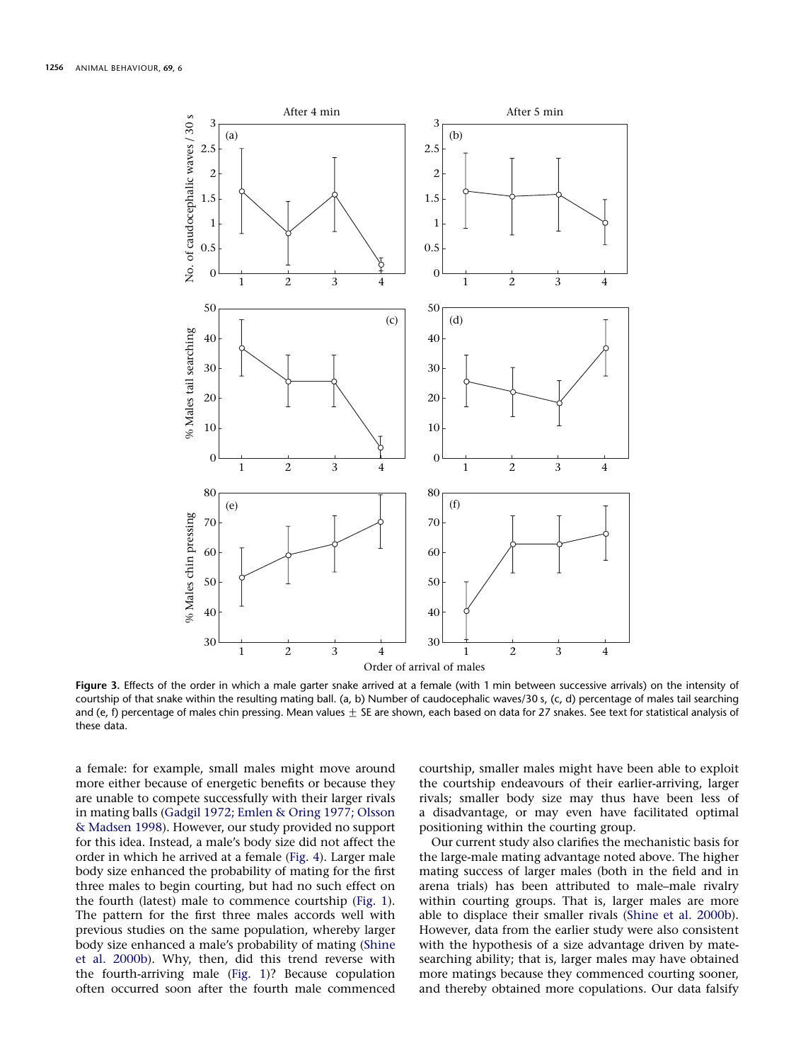<span id="page-5-0"></span>

Figure 3. Effects of the order in which a male garter snake arrived at a female (with 1 min between successive arrivals) on the intensity of courtship of that snake within the resulting mating ball. (a, b) Number of caudocephalic waves/30 s, (c, d) percentage of males tail searching and (e, f) percentage of males chin pressing. Mean values  $\pm$  SE are shown, each based on data for 27 snakes. See text for statistical analysis of these data.

a female: for example, small males might move around more either because of energetic benefits or because they are unable to compete successfully with their larger rivals in mating balls [\(Gadgil 1972; Emlen & Oring 1977; Olsson](#page-7-0) [& Madsen 1998](#page-7-0)). However, our study provided no support for this idea. Instead, a male's body size did not affect the order in which he arrived at a female ([Fig. 4](#page-6-0)). Larger male body size enhanced the probability of mating for the first three males to begin courting, but had no such effect on the fourth (latest) male to commence courtship ([Fig. 1](#page-3-0)). The pattern for the first three males accords well with previous studies on the same population, whereby larger body size enhanced a male's probability of mating [\(Shine](#page-7-0) [et al. 2000b](#page-7-0)). Why, then, did this trend reverse with the fourth-arriving male [\(Fig. 1](#page-3-0))? Because copulation often occurred soon after the fourth male commenced courtship, smaller males might have been able to exploit the courtship endeavours of their earlier-arriving, larger rivals; smaller body size may thus have been less of a disadvantage, or may even have facilitated optimal positioning within the courting group.

Our current study also clarifies the mechanistic basis for the large-male mating advantage noted above. The higher mating success of larger males (both in the field and in arena trials) has been attributed to male–male rivalry within courting groups. That is, larger males are more able to displace their smaller rivals [\(Shine et al. 2000b](#page-7-0)). However, data from the earlier study were also consistent with the hypothesis of a size advantage driven by matesearching ability; that is, larger males may have obtained more matings because they commenced courting sooner, and thereby obtained more copulations. Our data falsify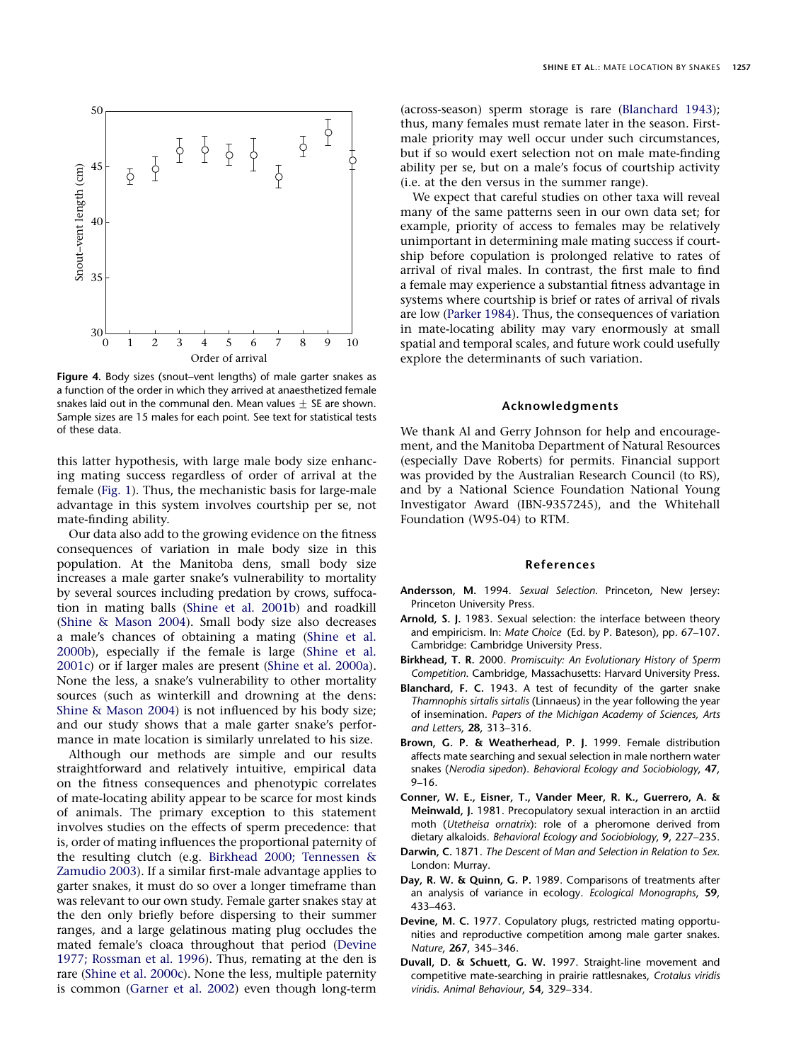<span id="page-6-0"></span>

Figure 4. Body sizes (snout–vent lengths) of male garter snakes as a function of the order in which they arrived at anaesthetized female snakes laid out in the communal den. Mean values  $\pm$  SE are shown. Sample sizes are 15 males for each point. See text for statistical tests of these data.

this latter hypothesis, with large male body size enhancing mating success regardless of order of arrival at the female ([Fig. 1](#page-3-0)). Thus, the mechanistic basis for large-male advantage in this system involves courtship per se, not mate-finding ability.

Our data also add to the growing evidence on the fitness consequences of variation in male body size in this population. At the Manitoba dens, small body size increases a male garter snake's vulnerability to mortality by several sources including predation by crows, suffocation in mating balls ([Shine et al. 2001b](#page-7-0)) and roadkill ([Shine & Mason 2004](#page-7-0)). Small body size also decreases a male's chances of obtaining a mating ([Shine et al.](#page-7-0) [2000b](#page-7-0)), especially if the female is large [\(Shine et al.](#page-7-0) [2001c](#page-7-0)) or if larger males are present [\(Shine et al. 2000a](#page-7-0)). None the less, a snake's vulnerability to other mortality sources (such as winterkill and drowning at the dens: [Shine & Mason 2004](#page-7-0)) is not influenced by his body size; and our study shows that a male garter snake's performance in mate location is similarly unrelated to his size.

Although our methods are simple and our results straightforward and relatively intuitive, empirical data on the fitness consequences and phenotypic correlates of mate-locating ability appear to be scarce for most kinds of animals. The primary exception to this statement involves studies on the effects of sperm precedence: that is, order of mating influences the proportional paternity of the resulting clutch (e.g. Birkhead 2000; Tennessen & Zamudio 2003). If a similar first-male advantage applies to garter snakes, it must do so over a longer timeframe than was relevant to our own study. Female garter snakes stay at the den only briefly before dispersing to their summer ranges, and a large gelatinous mating plug occludes the mated female's cloaca throughout that period (Devine 1977; Rossman et al. 1996). Thus, remating at the den is rare ([Shine et al. 2000c](#page-7-0)). None the less, multiple paternity is common [\(Garner et al. 2002\)](#page-7-0) even though long-term (across-season) sperm storage is rare (Blanchard 1943); thus, many females must remate later in the season. Firstmale priority may well occur under such circumstances, but if so would exert selection not on male mate-finding ability per se, but on a male's focus of courtship activity (i.e. at the den versus in the summer range).

We expect that careful studies on other taxa will reveal many of the same patterns seen in our own data set; for example, priority of access to females may be relatively unimportant in determining male mating success if courtship before copulation is prolonged relative to rates of arrival of rival males. In contrast, the first male to find a female may experience a substantial fitness advantage in systems where courtship is brief or rates of arrival of rivals are low [\(Parker 1984\)](#page-7-0). Thus, the consequences of variation in mate-locating ability may vary enormously at small spatial and temporal scales, and future work could usefully explore the determinants of such variation.

#### Acknowledgments

We thank Al and Gerry Johnson for help and encouragement, and the Manitoba Department of Natural Resources (especially Dave Roberts) for permits. Financial support was provided by the Australian Research Council (to RS), and by a National Science Foundation National Young Investigator Award (IBN-9357245), and the Whitehall Foundation (W95-04) to RTM.

#### References

- Andersson, M. 1994. Sexual Selection. Princeton, New Jersey: Princeton University Press.
- Arnold, S. J. 1983. Sexual selection: the interface between theory and empiricism. In: Mate Choice (Ed. by P. Bateson), pp. 67–107. Cambridge: Cambridge University Press.
- Birkhead, T. R. 2000. Promiscuity: An Evolutionary History of Sperm Competition. Cambridge, Massachusetts: Harvard University Press.
- Blanchard, F. C. 1943. A test of fecundity of the garter snake Thamnophis sirtalis sirtalis (Linnaeus) in the year following the year of insemination. Papers of the Michigan Academy of Sciences, Arts and Letters, 28, 313–316.
- Brown, G. P. & Weatherhead, P. J. 1999. Female distribution affects mate searching and sexual selection in male northern water snakes (Nerodia sipedon). Behavioral Ecology and Sociobiology, 47, 9–16.
- Conner, W. E., Eisner, T., Vander Meer, R. K., Guerrero, A. & Meinwald, J. 1981. Precopulatory sexual interaction in an arctiid moth (Utetheisa ornatrix): role of a pheromone derived from dietary alkaloids. Behavioral Ecology and Sociobiology, 9, 227–235.
- Darwin, C. 1871. The Descent of Man and Selection in Relation to Sex. London: Murray.
- Day, R. W. & Quinn, G. P. 1989. Comparisons of treatments after an analysis of variance in ecology. Ecological Monographs, 59, 433–463.
- Devine, M. C. 1977. Copulatory plugs, restricted mating opportunities and reproductive competition among male garter snakes. Nature, 267, 345–346.
- Duvall, D. & Schuett, G. W. 1997. Straight-line movement and competitive mate-searching in prairie rattlesnakes, Crotalus viridis viridis. Animal Behaviour, 54, 329–334.